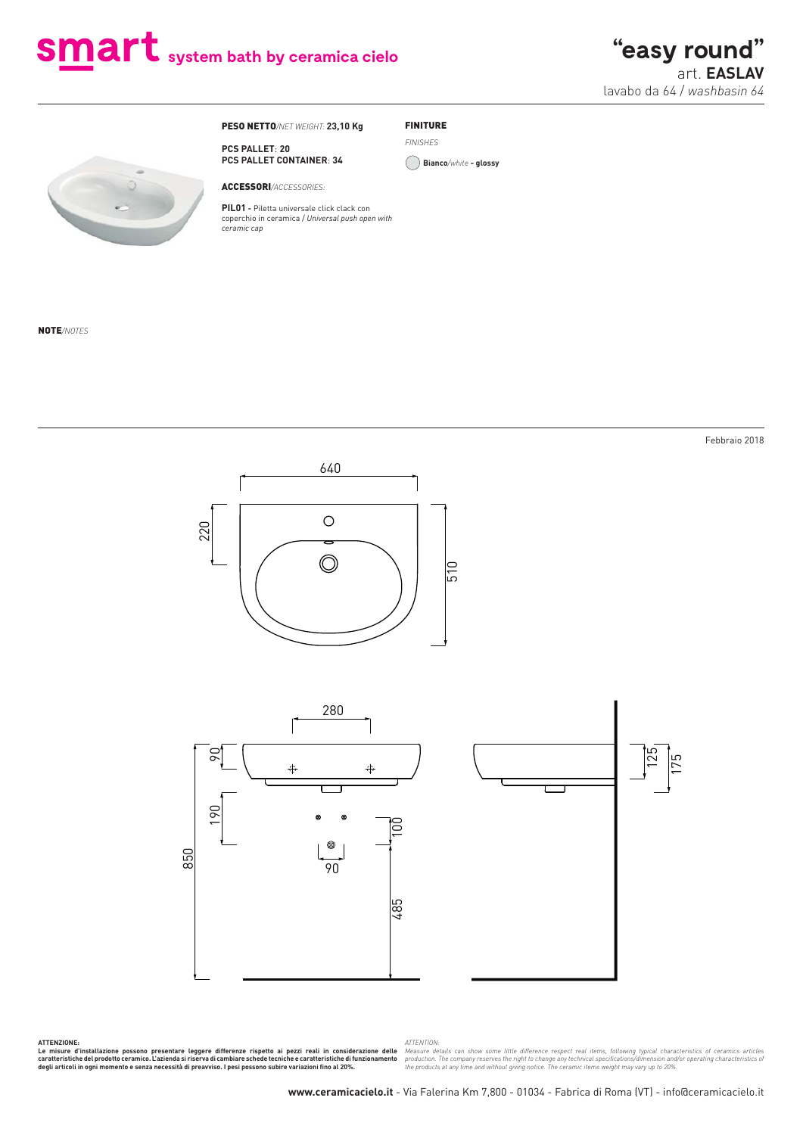# Smart system bath by ceramica cielo

**"easy round"** art. **EASLAV** lavabo da 64 / *washbasin 64*

Febbraio 2018

PESO NETTO*/NET WEIGHT:* **23,10 Kg**

## FINITURE

**PCS PALLET CONTAINER**: **34**

ACCESSORI*/ACCESSORIES:*

**PCS PALLET**: **20**

**PIL01 -** Piletta universale click clack con coperchio in ceramica / *Universal push open with ceramic cap*

*FINISHES*

**Bianco***/white* **- glossy**

NOTE*/NOTES*

640  $\circ$ 220  $\circledcirc$ 510



ATTENZIONE:<br>Le misure d'installazione possono presentare leggere differenze rispetto ai pezzi reali in considerazione delle<br>caratteristiche delprodotto ceramico.L'azienda si riserva di cambiare schede tecniche e caratteris

*ATTENTION:*

Measure details can show some little difference respect real items, following typical characteristics of ceramics articles<br>production. The company reserves the right to change any technical specifications/dimension and/or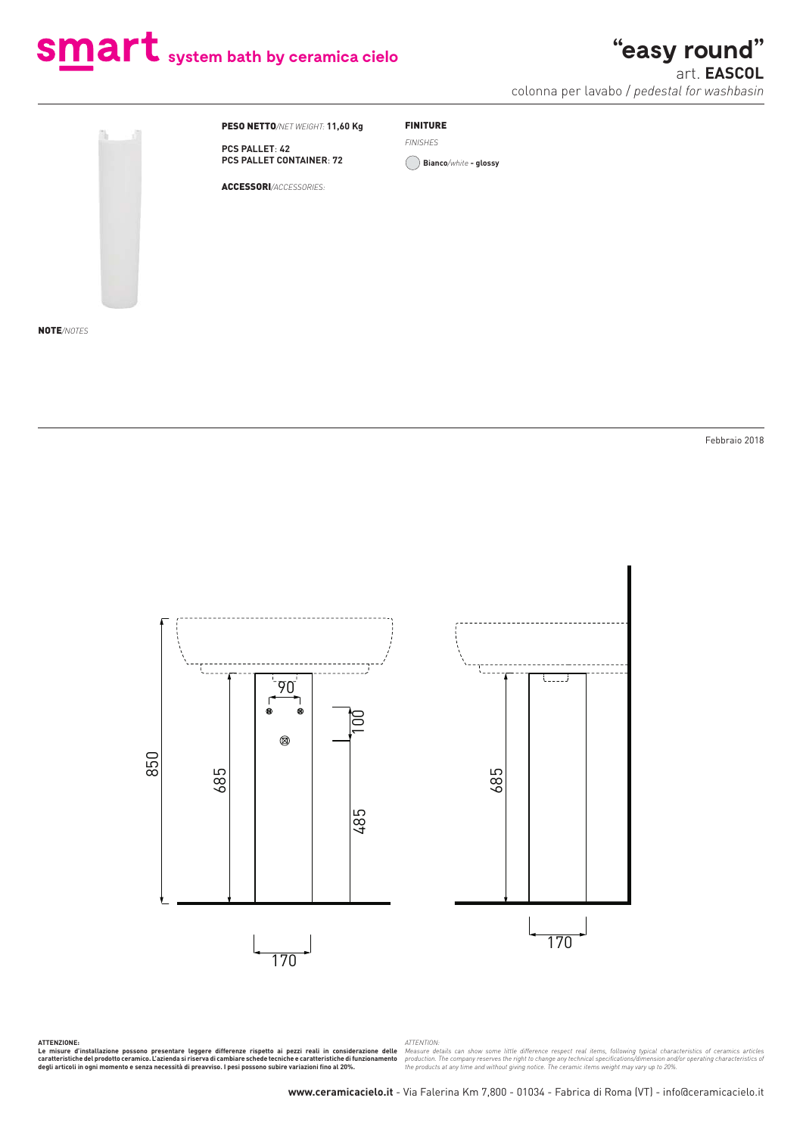# **smart** system bath by ceramica cielo

## **"easy round"**

art. **EASCOL** colonna per lavabo / *pedestal for washbasin*



PESO NETTO*/NET WEIGHT:* **11,60 Kg**

### FINITURE

**PCS PALLET**: **42 PCS PALLET CONTAINER**: **72**

ACCESSORI*/ACCESSORIES:*

*FINISHES*

**Bianco***/white* **- glossy**

NOTE*/NOTES*

Febbraio 2018



ATTENZIONE:<br>Le misure d'installazione possono presentare leggere differenze rispetto ai pezzi reali in considerazione delle<br>caratteristiche delprodotto ceramico.L'azienda si riserva di cambiare schede tecniche e caratteris

ATTENTION:<br>Measure details can show some little difference respect real items, following typical characteristics of ceramics articles<br>production. The company reserves the right to change any technical specifications/dimens